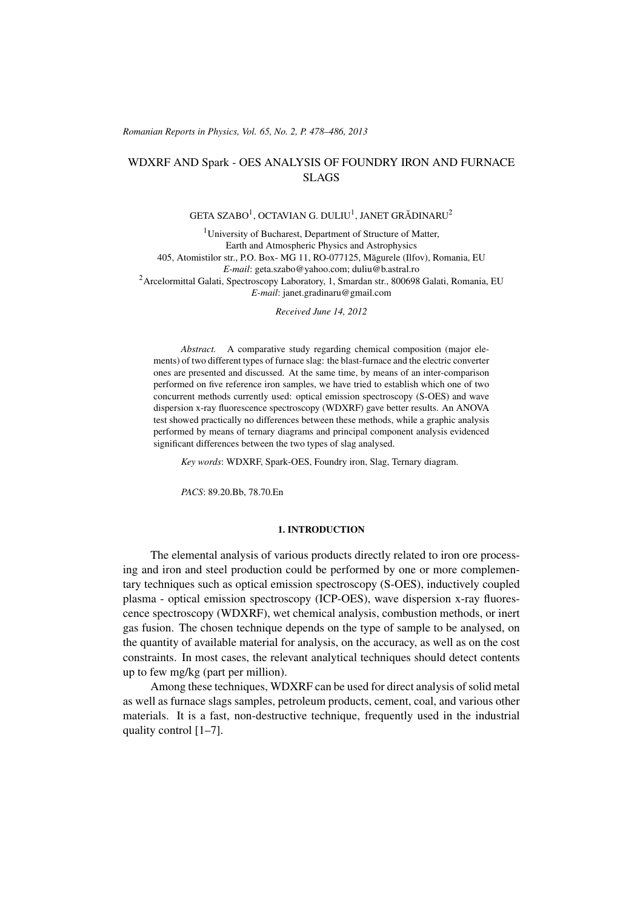#### (c) RRP 65(No. 2) 478–486 2013 *Romanian Reports in Physics, Vol. 65, No. 2, P. 478–486, 2013*

# WDXRF AND Spark - OES ANALYSIS OF FOUNDRY IRON AND FURNACE SLAGS

# GETA SZABO $^1$ , OCTAVIAN G. DULIU $^1$ , JANET GRĂDINARU $^2$

<sup>1</sup>University of Bucharest, Department of Structure of Matter, Earth and Atmospheric Physics and Astrophysics 405, Atomistilor str., P.O. Box- MG 11, RO-077125, Magurele (Ilfov), Romania, EU ˘ *E-mail*: geta.szabo@yahoo.com; duliu@b.astral.ro <sup>2</sup>Arcelormittal Galati, Spectroscopy Laboratory, 1, Smardan str., 800698 Galati, Romania, EU *E-mail*: janet.gradinaru@gmail.com

*Received June 14, 2012*

*Abstract.* A comparative study regarding chemical composition (major elements) of two different types of furnace slag: the blast-furnace and the electric converter ones are presented and discussed. At the same time, by means of an inter-comparison performed on five reference iron samples, we have tried to establish which one of two concurrent methods currently used: optical emission spectroscopy (S-OES) and wave dispersion x-ray fluorescence spectroscopy (WDXRF) gave better results. An ANOVA test showed practically no differences between these methods, while a graphic analysis performed by means of ternary diagrams and principal component analysis evidenced significant differences between the two types of slag analysed.

*Key words*: WDXRF, Spark-OES, Foundry iron, Slag, Ternary diagram.

*PACS*: 89.20.Bb, 78.70.En

### 1. INTRODUCTION

The elemental analysis of various products directly related to iron ore processing and iron and steel production could be performed by one or more complementary techniques such as optical emission spectroscopy (S-OES), inductively coupled plasma - optical emission spectroscopy (ICP-OES), wave dispersion x-ray fluorescence spectroscopy (WDXRF), wet chemical analysis, combustion methods, or inert gas fusion. The chosen technique depends on the type of sample to be analysed, on the quantity of available material for analysis, on the accuracy, as well as on the cost constraints. In most cases, the relevant analytical techniques should detect contents up to few mg/kg (part per million).

Among these techniques, WDXRF can be used for direct analysis of solid metal as well as furnace slags samples, petroleum products, cement, coal, and various other materials. It is a fast, non-destructive technique, frequently used in the industrial quality control [1–7].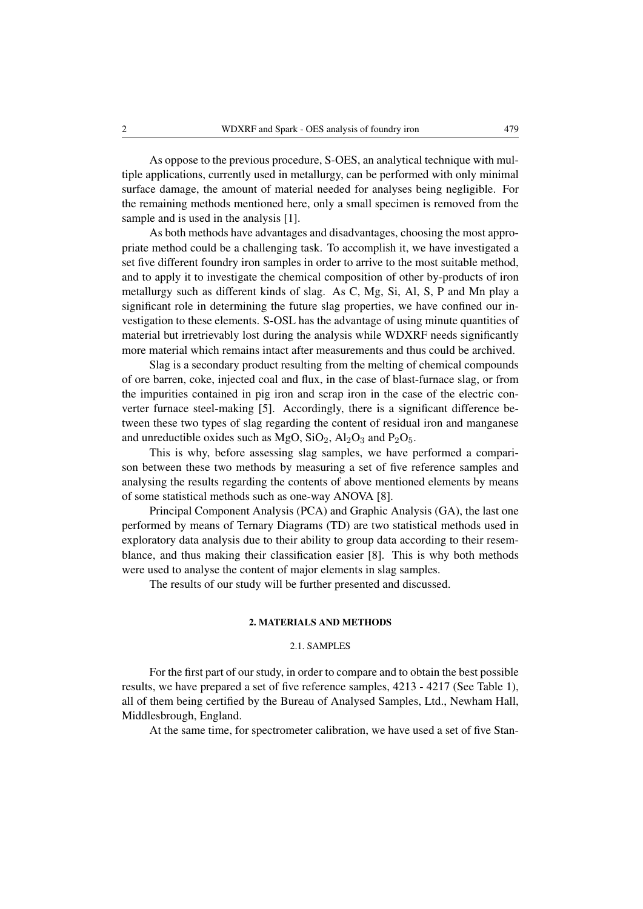As oppose to the previous procedure, S-OES, an analytical technique with multiple applications, currently used in metallurgy, can be performed with only minimal surface damage, the amount of material needed for analyses being negligible. For the remaining methods mentioned here, only a small specimen is removed from the sample and is used in the analysis [1].

As both methods have advantages and disadvantages, choosing the most appropriate method could be a challenging task. To accomplish it, we have investigated a set five different foundry iron samples in order to arrive to the most suitable method, and to apply it to investigate the chemical composition of other by-products of iron metallurgy such as different kinds of slag. As C, Mg, Si, Al, S, P and Mn play a significant role in determining the future slag properties, we have confined our investigation to these elements. S-OSL has the advantage of using minute quantities of material but irretrievably lost during the analysis while WDXRF needs significantly more material which remains intact after measurements and thus could be archived.

Slag is a secondary product resulting from the melting of chemical compounds of ore barren, coke, injected coal and flux, in the case of blast-furnace slag, or from the impurities contained in pig iron and scrap iron in the case of the electric converter furnace steel-making [5]. Accordingly, there is a significant difference between these two types of slag regarding the content of residual iron and manganese and unreductible oxides such as  $MgO$ ,  $SiO<sub>2</sub>$ ,  $Al<sub>2</sub>O<sub>3</sub>$  and  $P<sub>2</sub>O<sub>5</sub>$ .

This is why, before assessing slag samples, we have performed a comparison between these two methods by measuring a set of five reference samples and analysing the results regarding the contents of above mentioned elements by means of some statistical methods such as one-way ANOVA [8].

Principal Component Analysis (PCA) and Graphic Analysis (GA), the last one performed by means of Ternary Diagrams (TD) are two statistical methods used in exploratory data analysis due to their ability to group data according to their resemblance, and thus making their classification easier [8]. This is why both methods were used to analyse the content of major elements in slag samples.

The results of our study will be further presented and discussed.

# 2. MATERIALS AND METHODS

# 2.1. SAMPLES

For the first part of our study, in order to compare and to obtain the best possible results, we have prepared a set of five reference samples, 4213 - 4217 (See Table 1), all of them being certified by the Bureau of Analysed Samples, Ltd., Newham Hall, Middlesbrough, England.

At the same time, for spectrometer calibration, we have used a set of five Stan-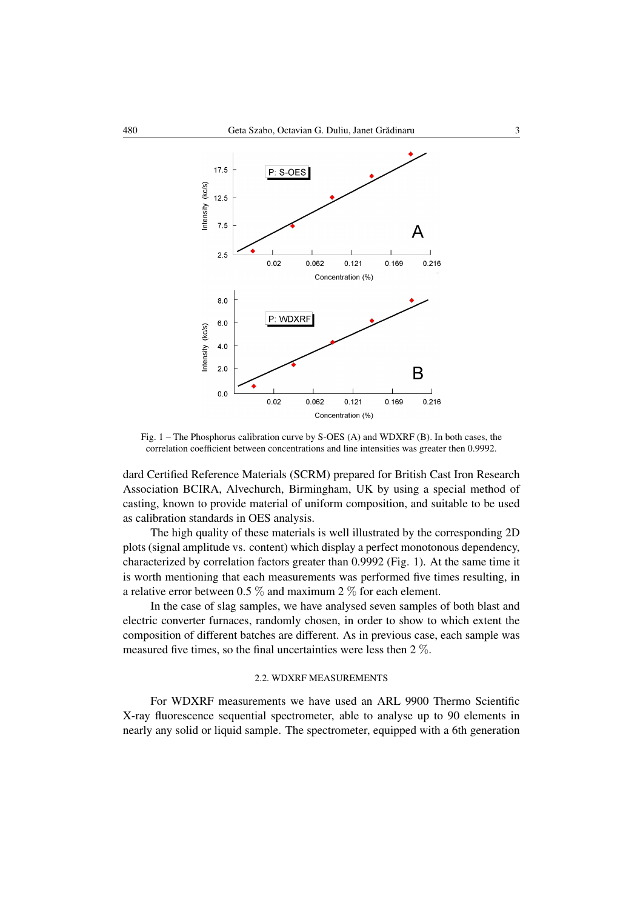

Fig. 1 – The Phosphorus calibration curve by S-OES (A) and WDXRF (B). In both cases, the correlation coefficient between concentrations and line intensities was greater then 0.9992.

dard Certified Reference Materials (SCRM) prepared for British Cast Iron Research Association BCIRA, Alvechurch, Birmingham, UK by using a special method of casting, known to provide material of uniform composition, and suitable to be used as calibration standards in OES analysis.

The high quality of these materials is well illustrated by the corresponding 2D plots (signal amplitude vs. content) which display a perfect monotonous dependency, characterized by correlation factors greater than 0.9992 (Fig. 1). At the same time it is worth mentioning that each measurements was performed five times resulting, in a relative error between 0.5  $\%$  and maximum 2  $\%$  for each element.

In the case of slag samples, we have analysed seven samples of both blast and electric converter furnaces, randomly chosen, in order to show to which extent the composition of different batches are different. As in previous case, each sample was measured five times, so the final uncertainties were less then 2 %.

### 2.2. WDXRF MEASUREMENTS

For WDXRF measurements we have used an ARL 9900 Thermo Scientific X-ray fluorescence sequential spectrometer, able to analyse up to 90 elements in nearly any solid or liquid sample. The spectrometer, equipped with a 6th generation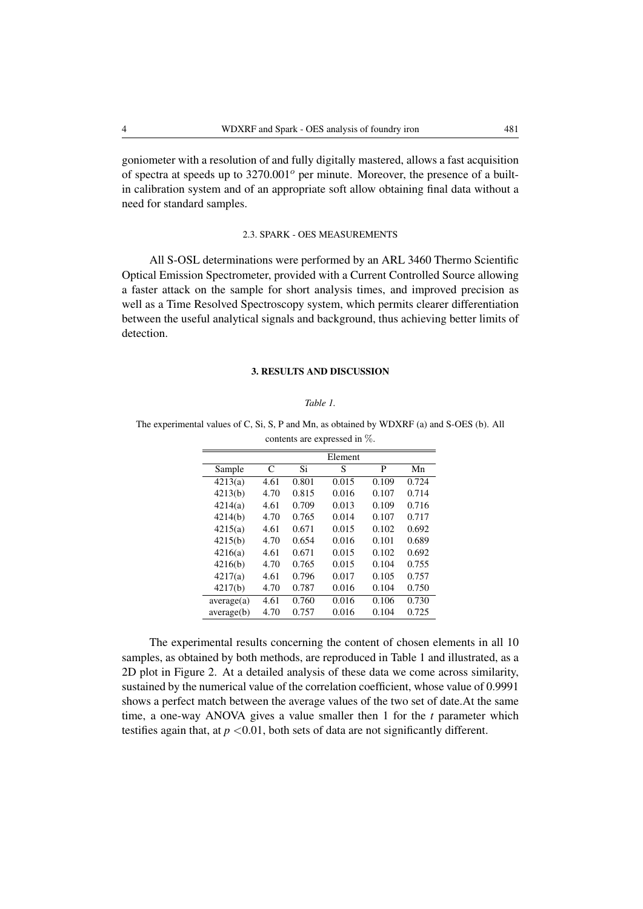goniometer with a resolution of and fully digitally mastered, allows a fast acquisition of spectra at speeds up to  $3270.001^{\circ}$  per minute. Moreover, the presence of a builtin calibration system and of an appropriate soft allow obtaining final data without a need for standard samples.

# 2.3. SPARK - OES MEASUREMENTS

All S-OSL determinations were performed by an ARL 3460 Thermo Scientific Optical Emission Spectrometer, provided with a Current Controlled Source allowing a faster attack on the sample for short analysis times, and improved precision as well as a Time Resolved Spectroscopy system, which permits clearer differentiation between the useful analytical signals and background, thus achieving better limits of detection.

### 3. RESULTS AND DISCUSSION

#### *Table 1.*

The experimental values of C, Si, S, P and Mn, as obtained by WDXRF (a) and S-OES (b). All contents are expressed in %.

|      |       | Element |       |       |
|------|-------|---------|-------|-------|
| C    | Si    | S       | P     | Mn    |
| 4.61 | 0.801 | 0.015   | 0.109 | 0.724 |
| 4.70 | 0.815 | 0.016   | 0.107 | 0.714 |
| 4.61 | 0.709 | 0.013   | 0.109 | 0.716 |
| 4.70 | 0.765 | 0.014   | 0.107 | 0.717 |
| 4.61 | 0.671 | 0.015   | 0.102 | 0.692 |
| 4.70 | 0.654 | 0.016   | 0.101 | 0.689 |
| 4.61 | 0.671 | 0.015   | 0.102 | 0.692 |
| 4.70 | 0.765 | 0.015   | 0.104 | 0.755 |
| 4.61 | 0.796 | 0.017   | 0.105 | 0.757 |
| 4.70 | 0.787 | 0.016   | 0.104 | 0.750 |
| 4.61 | 0.760 | 0.016   | 0.106 | 0.730 |
| 4.70 | 0.757 | 0.016   | 0.104 | 0.725 |
|      |       |         |       |       |

The experimental results concerning the content of chosen elements in all 10 samples, as obtained by both methods, are reproduced in Table 1 and illustrated, as a 2D plot in Figure 2. At a detailed analysis of these data we come across similarity, sustained by the numerical value of the correlation coefficient, whose value of 0.9991 shows a perfect match between the average values of the two set of date.At the same time, a one-way ANOVA gives a value smaller then 1 for the *t* parameter which testifies again that, at  $p < 0.01$ , both sets of data are not significantly different.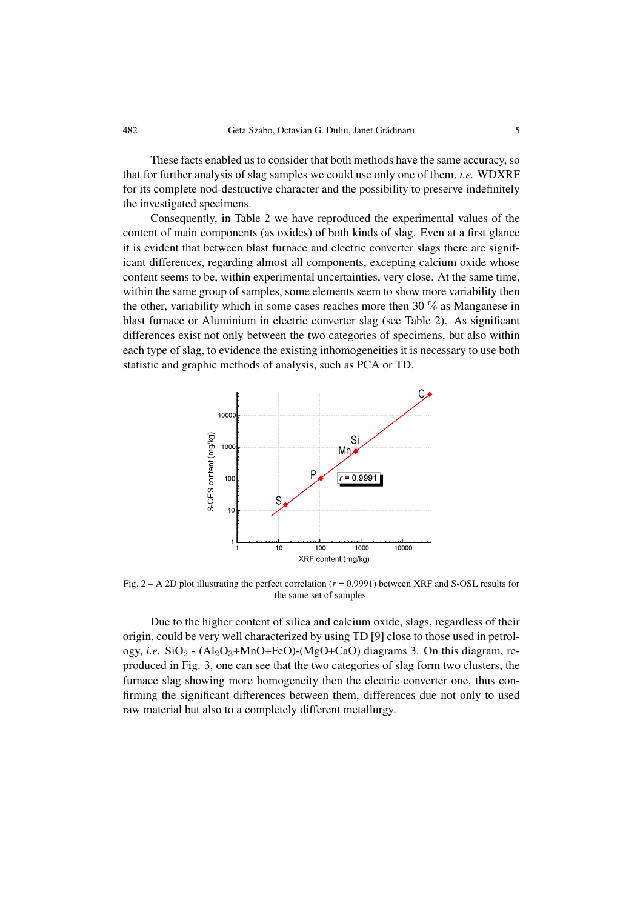These facts enabled us to consider that both methods have the same accuracy, so that for further analysis of slag samples we could use only one of them, *i.e.* WDXRF for its complete nod-destructive character and the possibility to preserve indefinitely the investigated specimens.

Consequently, in Table 2 we have reproduced the experimental values of the content of main components (as oxides) of both kinds of slag. Even at a first glance it is evident that between blast furnace and electric converter slags there are significant differences, regarding almost all components, excepting calcium oxide whose content seems to be, within experimental uncertainties, very close. At the same time, within the same group of samples, some elements seem to show more variability then the other, variability which in some cases reaches more then 30 % as Manganese in blast furnace or Aluminium in electric converter slag (see Table 2). As significant differences exist not only between the two categories of specimens, but also within each type of slag, to evidence the existing inhomogeneities it is necessary to use both statistic and graphic methods of analysis, such as PCA or TD.



Fig. 2 – A 2D plot illustrating the perfect correlation (*r* = 0.9991) between XRF and S-OSL results for the same set of samples.

Due to the higher content of silica and calcium oxide, slags, regardless of their origin, could be very well characterized by using TD [9] close to those used in petrology, *i.e.*  $SiO_2$  -  $(Al_2O_3+MnO+FeO)$ - $(MgO+CaO)$  diagrams 3. On this diagram, reproduced in Fig. 3, one can see that the two categories of slag form two clusters, the furnace slag showing more homogeneity then the electric converter one, thus confirming the significant differences between them, differences due not only to used raw material but also to a completely different metallurgy.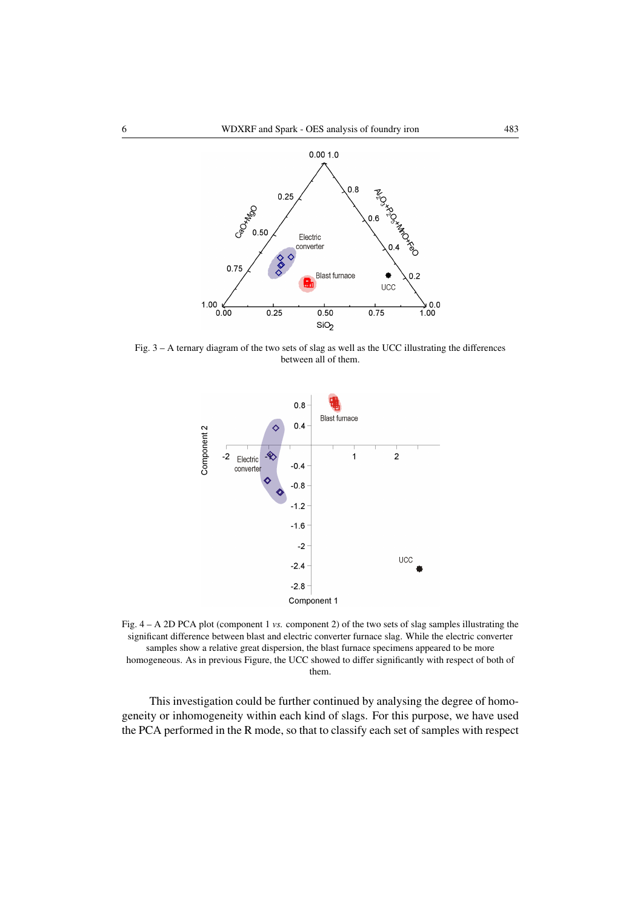

Fig. 3 – A ternary diagram of the two sets of slag as well as the UCC illustrating the differences between all of them.



Fig. 4 – A 2D PCA plot (component 1 *vs.* component 2) of the two sets of slag samples illustrating the significant difference between blast and electric converter furnace slag. While the electric converter samples show a relative great dispersion, the blast furnace specimens appeared to be more homogeneous. As in previous Figure, the UCC showed to differ significantly with respect of both of them.

This investigation could be further continued by analysing the degree of homogeneity or inhomogeneity within each kind of slags. For this purpose, we have used the PCA performed in the R mode, so that to classify each set of samples with respect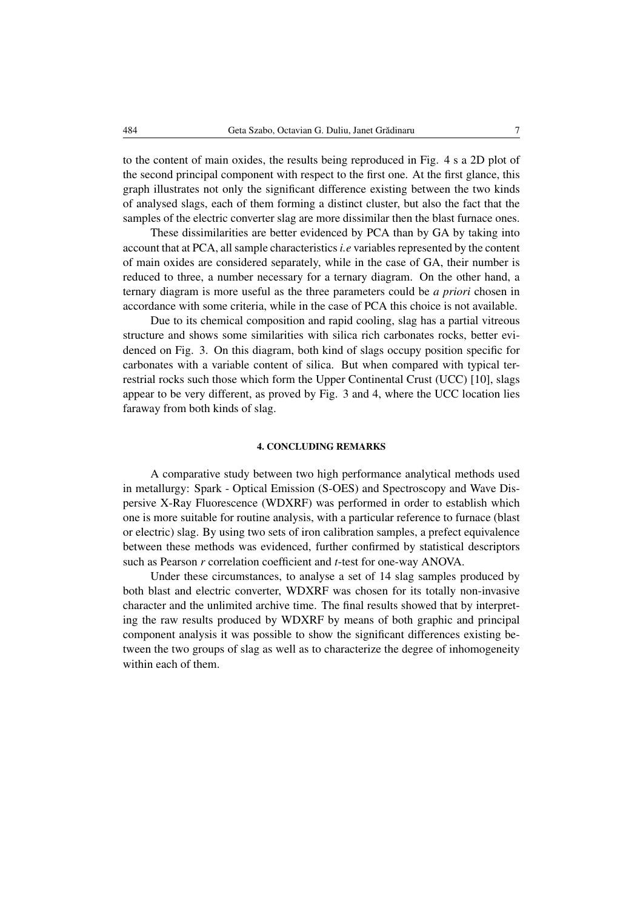to the content of main oxides, the results being reproduced in Fig. 4 s a 2D plot of the second principal component with respect to the first one. At the first glance, this graph illustrates not only the significant difference existing between the two kinds of analysed slags, each of them forming a distinct cluster, but also the fact that the samples of the electric converter slag are more dissimilar then the blast furnace ones.

These dissimilarities are better evidenced by PCA than by GA by taking into account that at PCA, all sample characteristics*i.e* variables represented by the content of main oxides are considered separately, while in the case of GA, their number is reduced to three, a number necessary for a ternary diagram. On the other hand, a ternary diagram is more useful as the three parameters could be *a priori* chosen in accordance with some criteria, while in the case of PCA this choice is not available.

Due to its chemical composition and rapid cooling, slag has a partial vitreous structure and shows some similarities with silica rich carbonates rocks, better evidenced on Fig. 3. On this diagram, both kind of slags occupy position specific for carbonates with a variable content of silica. But when compared with typical terrestrial rocks such those which form the Upper Continental Crust (UCC) [10], slags appear to be very different, as proved by Fig. 3 and 4, where the UCC location lies faraway from both kinds of slag.

### 4. CONCLUDING REMARKS

A comparative study between two high performance analytical methods used in metallurgy: Spark - Optical Emission (S-OES) and Spectroscopy and Wave Dispersive X-Ray Fluorescence (WDXRF) was performed in order to establish which one is more suitable for routine analysis, with a particular reference to furnace (blast or electric) slag. By using two sets of iron calibration samples, a prefect equivalence between these methods was evidenced, further confirmed by statistical descriptors such as Pearson *r* correlation coefficient and *t*-test for one-way ANOVA.

Under these circumstances, to analyse a set of 14 slag samples produced by both blast and electric converter, WDXRF was chosen for its totally non-invasive character and the unlimited archive time. The final results showed that by interpreting the raw results produced by WDXRF by means of both graphic and principal component analysis it was possible to show the significant differences existing between the two groups of slag as well as to characterize the degree of inhomogeneity within each of them.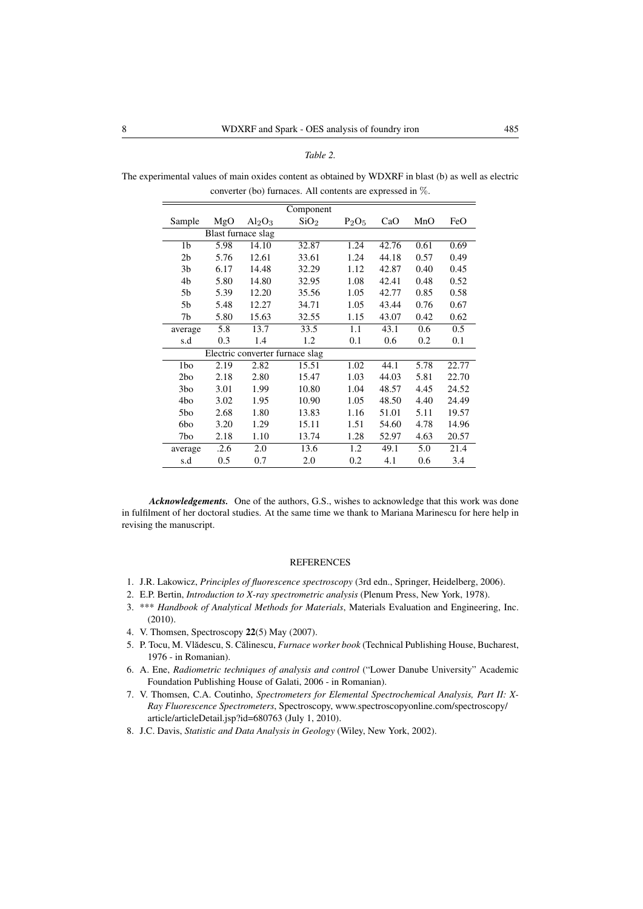#### *Table 2.*

The experimental values of main oxides content as obtained by WDXRF in blast (b) as well as electric converter (bo) furnaces. All contents are expressed in %.

|                |      |                                 | Component        |          |       |      |       |
|----------------|------|---------------------------------|------------------|----------|-------|------|-------|
| Sample         | MgO  | Al <sub>2</sub> O <sub>3</sub>  | SiO <sub>2</sub> | $P_2O_5$ | CaO   | MnO  | FeO   |
|                |      | Blast furnace slag              |                  |          |       |      |       |
| 1 <sub>b</sub> | 5.98 | 14.10                           | 32.87            | 1.24     | 42.76 | 0.61 | 0.69  |
| 2 <sub>b</sub> | 5.76 | 12.61                           | 33.61            | 1.24     | 44.18 | 0.57 | 0.49  |
| 3 <sub>b</sub> | 6.17 | 14.48                           | 32.29            | 1.12     | 42.87 | 0.40 | 0.45  |
| 4b             | 5.80 | 14.80                           | 32.95            | 1.08     | 42.41 | 0.48 | 0.52  |
| 5b             | 5.39 | 12.20                           | 35.56            | 1.05     | 42.77 | 0.85 | 0.58  |
| 5b             | 5.48 | 12.27                           | 34.71            | 1.05     | 43.44 | 0.76 | 0.67  |
| 7b             | 5.80 | 15.63                           | 32.55            | 1.15     | 43.07 | 0.42 | 0.62  |
| average        | 5.8  | 13.7                            | 33.5             | 1.1      | 43.1  | 0.6  | 0.5   |
| s.d            | 0.3  | 1.4                             | 1.2              | 0.1      | 0.6   | 0.2  | 0.1   |
|                |      | Electric converter furnace slag |                  |          |       |      |       |
| 1bo            | 2.19 | 2.82                            | 15.51            | 1.02     | 44.1  | 5.78 | 22.77 |
| 2bo            | 2.18 | 2.80                            | 15.47            | 1.03     | 44.03 | 5.81 | 22.70 |
| 3bo            | 3.01 | 1.99                            | 10.80            | 1.04     | 48.57 | 4.45 | 24.52 |
| 4bo            | 3.02 | 1.95                            | 10.90            | 1.05     | 48.50 | 4.40 | 24.49 |
| 5bo            | 2.68 | 1.80                            | 13.83            | 1.16     | 51.01 | 5.11 | 19.57 |
| 6bo            | 3.20 | 1.29                            | 15.11            | 1.51     | 54.60 | 4.78 | 14.96 |
| 7bo            | 2.18 | 1.10                            | 13.74            | 1.28     | 52.97 | 4.63 | 20.57 |
| average        | .2.6 | 2.0                             | 13.6             | 1.2      | 49.1  | 5.0  | 21.4  |
| s.d            | 0.5  | 0.7                             | 2.0              | 0.2      | 4.1   | 0.6  | 3.4   |

*Acknowledgements.* One of the authors, G.S., wishes to acknowledge that this work was done in fulfilment of her doctoral studies. At the same time we thank to Mariana Marinescu for here help in revising the manuscript.

#### REFERENCES

- 1. J.R. Lakowicz, *Principles of fluorescence spectroscopy* (3rd edn., Springer, Heidelberg, 2006).
- 2. E.P. Bertin, *Introduction to X-ray spectrometric analysis* (Plenum Press, New York, 1978).
- 3. \*\*\* *Handbook of Analytical Methods for Materials*, Materials Evaluation and Engineering, Inc. (2010).
- 4. V. Thomsen, Spectroscopy 22(5) May (2007).
- 5. P. Tocu, M. Vlădescu, S. Călinescu, *Furnace worker book* (Technical Publishing House, Bucharest, 1976 - in Romanian).
- 6. A. Ene, *Radiometric techniques of analysis and control* ("Lower Danube University" Academic Foundation Publishing House of Galati, 2006 - in Romanian).
- 7. V. Thomsen, C.A. Coutinho, *Spectrometers for Elemental Spectrochemical Analysis, Part II: X-Ray Fluorescence Spectrometers*, Spectroscopy, www.spectroscopyonline.com/spectroscopy/ article/articleDetail.jsp?id=680763 (July 1, 2010).
- 8. J.C. Davis, *Statistic and Data Analysis in Geology* (Wiley, New York, 2002).